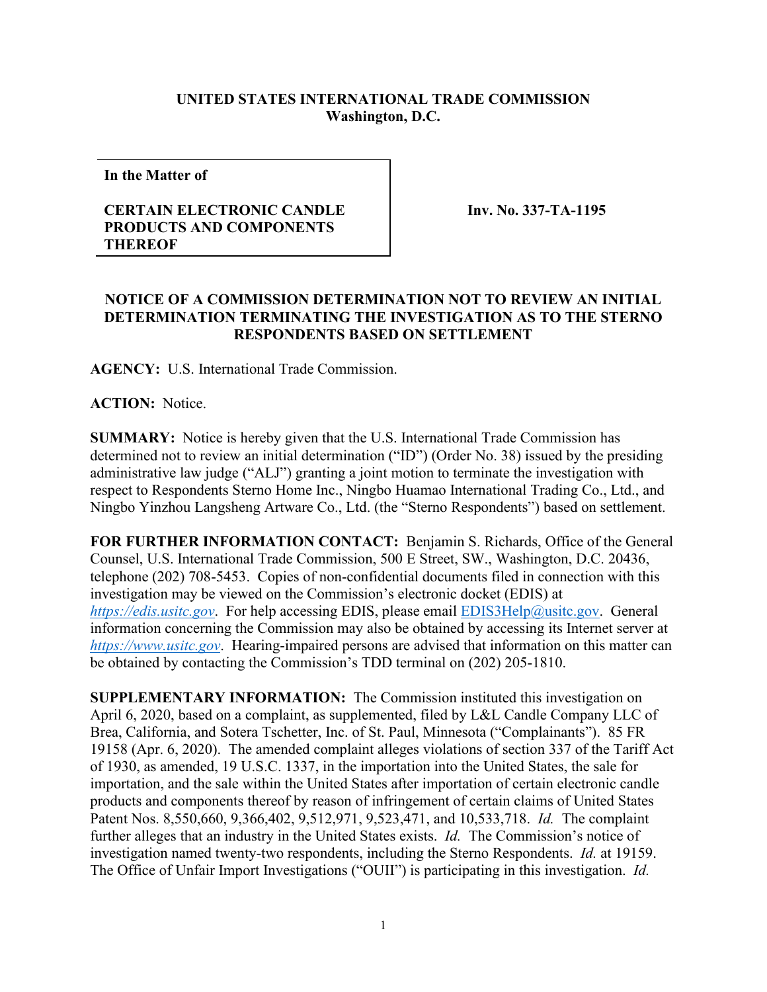## **UNITED STATES INTERNATIONAL TRADE COMMISSION Washington, D.C.**

**In the Matter of**

## **CERTAIN ELECTRONIC CANDLE PRODUCTS AND COMPONENTS THEREOF**

**Inv. No. 337-TA-1195**

## **NOTICE OF A COMMISSION DETERMINATION NOT TO REVIEW AN INITIAL DETERMINATION TERMINATING THE INVESTIGATION AS TO THE STERNO RESPONDENTS BASED ON SETTLEMENT**

**AGENCY:** U.S. International Trade Commission.

**ACTION:** Notice.

**SUMMARY:** Notice is hereby given that the U.S. International Trade Commission has determined not to review an initial determination ("ID") (Order No. 38) issued by the presiding administrative law judge ("ALJ") granting a joint motion to terminate the investigation with respect to Respondents Sterno Home Inc., Ningbo Huamao International Trading Co., Ltd., and Ningbo Yinzhou Langsheng Artware Co., Ltd. (the "Sterno Respondents") based on settlement.

**FOR FURTHER INFORMATION CONTACT:** Benjamin S. Richards, Office of the General Counsel, U.S. International Trade Commission, 500 E Street, SW., Washington, D.C. 20436, telephone (202) 708-5453. Copies of non-confidential documents filed in connection with this investigation may be viewed on the Commission's electronic docket (EDIS) at *[https://edis.usitc.gov](https://edis.usitc.gov/)*. For help accessing EDIS, please email [EDIS3Help@usitc.gov.](mailto:EDIS3Help@usitc.gov) General information concerning the Commission may also be obtained by accessing its Internet server at *[https://www.usitc.gov](https://www.usitc.gov/)*. Hearing-impaired persons are advised that information on this matter can be obtained by contacting the Commission's TDD terminal on (202) 205-1810.

**SUPPLEMENTARY INFORMATION:** The Commission instituted this investigation on April 6, 2020, based on a complaint, as supplemented, filed by L&L Candle Company LLC of Brea, California, and Sotera Tschetter, Inc. of St. Paul, Minnesota ("Complainants"). 85 FR 19158 (Apr. 6, 2020). The amended complaint alleges violations of section 337 of the Tariff Act of 1930, as amended, 19 U.S.C. 1337, in the importation into the United States, the sale for importation, and the sale within the United States after importation of certain electronic candle products and components thereof by reason of infringement of certain claims of United States Patent Nos. 8,550,660, 9,366,402, 9,512,971, 9,523,471, and 10,533,718. *Id.* The complaint further alleges that an industry in the United States exists. *Id.* The Commission's notice of investigation named twenty-two respondents, including the Sterno Respondents. *Id.* at 19159. The Office of Unfair Import Investigations ("OUII") is participating in this investigation. *Id.*